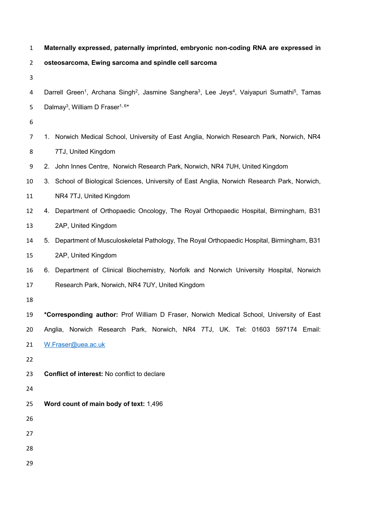| $\mathbf{1}$   | Maternally expressed, paternally imprinted, embryonic non-coding RNA are expressed in                                                                    |
|----------------|----------------------------------------------------------------------------------------------------------------------------------------------------------|
| $\overline{2}$ | osteosarcoma, Ewing sarcoma and spindle cell sarcoma                                                                                                     |
| 3              |                                                                                                                                                          |
| 4              | Darrell Green <sup>1</sup> , Archana Singh <sup>2</sup> , Jasmine Sanghera <sup>3</sup> , Lee Jeys <sup>4</sup> , Vaiyapuri Sumathi <sup>5</sup> , Tamas |
| 5              | Dalmay <sup>3</sup> , William D Fraser <sup>1, 6*</sup>                                                                                                  |
| 6              |                                                                                                                                                          |
| $\overline{7}$ | 1. Norwich Medical School, University of East Anglia, Norwich Research Park, Norwich, NR4                                                                |
| 8              | 7TJ, United Kingdom                                                                                                                                      |
| 9              | 2. John Innes Centre, Norwich Research Park, Norwich, NR4 7UH, United Kingdom                                                                            |
| 10             | 3. School of Biological Sciences, University of East Anglia, Norwich Research Park, Norwich,                                                             |
| 11             | NR4 7TJ, United Kingdom                                                                                                                                  |
| 12             | 4. Department of Orthopaedic Oncology, The Royal Orthopaedic Hospital, Birmingham, B31                                                                   |
| 13             | 2AP, United Kingdom                                                                                                                                      |
| 14             | Department of Musculoskeletal Pathology, The Royal Orthopaedic Hospital, Birmingham, B31<br>5.                                                           |
| 15             | 2AP, United Kingdom                                                                                                                                      |
| 16             | 6. Department of Clinical Biochemistry, Norfolk and Norwich University Hospital, Norwich                                                                 |
| 17             | Research Park, Norwich, NR4 7UY, United Kingdom                                                                                                          |
| 18             |                                                                                                                                                          |
| 19             | *Corresponding author: Prof William D Fraser, Norwich Medical School, University of East                                                                 |
| 20             | Anglia, Norwich Research Park, Norwich, NR4 7TJ, UK. Tel: 01603 597174 Email:                                                                            |
| 21             | W.Fraser@uea.ac.uk                                                                                                                                       |
| 22             |                                                                                                                                                          |
| 23             | Conflict of interest: No conflict to declare                                                                                                             |
| 24             |                                                                                                                                                          |
| 25             | Word count of main body of text: 1,496                                                                                                                   |
| 26             |                                                                                                                                                          |
| 27             |                                                                                                                                                          |
| 28             |                                                                                                                                                          |
| 29             |                                                                                                                                                          |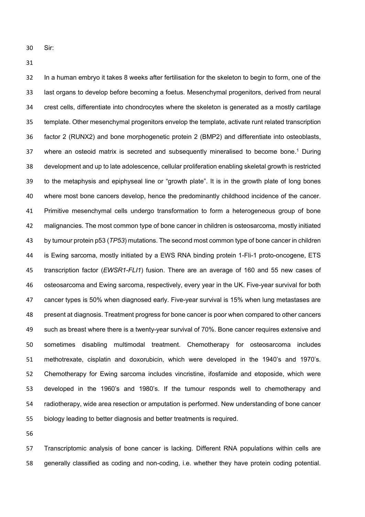Sir:

 In a human embryo it takes 8 weeks after fertilisation for the skeleton to begin to form, one of the last organs to develop before becoming a foetus. Mesenchymal progenitors, derived from neural crest cells, differentiate into chondrocytes where the skeleton is generated as a mostly cartilage template. Other mesenchymal progenitors envelop the template, activate runt related transcription factor 2 (RUNX2) and bone morphogenetic protein 2 (BMP2) and differentiate into osteoblasts, 37 where an osteoid matrix is secreted and subsequently mineralised to become bone.<sup>1</sup> During development and up to late adolescence, cellular proliferation enabling skeletal growth is restricted to the metaphysis and epiphyseal line or "growth plate". It is in the growth plate of long bones where most bone cancers develop, hence the predominantly childhood incidence of the cancer. Primitive mesenchymal cells undergo transformation to form a heterogeneous group of bone malignancies. The most common type of bone cancer in children is osteosarcoma, mostly initiated by tumour protein p53 (*TP53*) mutations. The second most common type of bone cancer in children is Ewing sarcoma, mostly initiated by a EWS RNA binding protein 1-Fli-1 proto-oncogene, ETS transcription factor (*EWSR1*-*FLI1*) fusion. There are an average of 160 and 55 new cases of osteosarcoma and Ewing sarcoma, respectively, every year in the UK. Five-year survival for both cancer types is 50% when diagnosed early. Five-year survival is 15% when lung metastases are present at diagnosis. Treatment progress for bone cancer is poor when compared to other cancers such as breast where there is a twenty-year survival of 70%. Bone cancer requires extensive and sometimes disabling multimodal treatment. Chemotherapy for osteosarcoma includes methotrexate, cisplatin and doxorubicin, which were developed in the 1940's and 1970's. Chemotherapy for Ewing sarcoma includes vincristine, ifosfamide and etoposide, which were developed in the 1960's and 1980's. If the tumour responds well to chemotherapy and radiotherapy, wide area resection or amputation is performed. New understanding of bone cancer biology leading to better diagnosis and better treatments is required.

 Transcriptomic analysis of bone cancer is lacking. Different RNA populations within cells are generally classified as coding and non-coding, i.e. whether they have protein coding potential.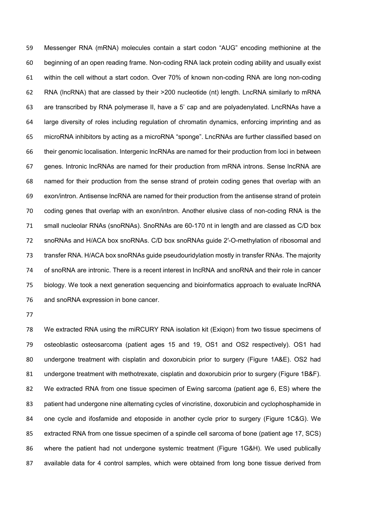Messenger RNA (mRNA) molecules contain a start codon "AUG" encoding methionine at the beginning of an open reading frame. Non-coding RNA lack protein coding ability and usually exist within the cell without a start codon. Over 70% of known non-coding RNA are long non-coding RNA (lncRNA) that are classed by their >200 nucleotide (nt) length. LncRNA similarly to mRNA are transcribed by RNA polymerase II, have a 5' cap and are polyadenylated. LncRNAs have a large diversity of roles including regulation of chromatin dynamics, enforcing imprinting and as microRNA inhibitors by acting as a microRNA "sponge". LncRNAs are further classified based on their genomic localisation. Intergenic lncRNAs are named for their production from loci in between genes. Intronic lncRNAs are named for their production from mRNA introns. Sense lncRNA are named for their production from the sense strand of protein coding genes that overlap with an exon/intron. Antisense lncRNA are named for their production from the antisense strand of protein coding genes that overlap with an exon/intron. Another elusive class of non-coding RNA is the small nucleolar RNAs (snoRNAs). SnoRNAs are 60-170 nt in length and are classed as C/D box snoRNAs and H/ACA box snoRNAs. C/D box snoRNAs guide 2′-O-methylation of ribosomal and transfer RNA. H/ACA box snoRNAs guide pseudouridylation mostly in transfer RNAs. The majority of snoRNA are intronic. There is a recent interest in lncRNA and snoRNA and their role in cancer biology. We took a next generation sequencing and bioinformatics approach to evaluate lncRNA and snoRNA expression in bone cancer.

 We extracted RNA using the miRCURY RNA isolation kit (Exiqon) from two tissue specimens of osteoblastic osteosarcoma (patient ages 15 and 19, OS1 and OS2 respectively). OS1 had undergone treatment with cisplatin and doxorubicin prior to surgery (Figure 1A&E). OS2 had undergone treatment with methotrexate, cisplatin and doxorubicin prior to surgery (Figure 1B&F). We extracted RNA from one tissue specimen of Ewing sarcoma (patient age 6, ES) where the patient had undergone nine alternating cycles of vincristine, doxorubicin and cyclophosphamide in one cycle and ifosfamide and etoposide in another cycle prior to surgery (Figure 1C&G). We extracted RNA from one tissue specimen of a spindle cell sarcoma of bone (patient age 17, SCS) where the patient had not undergone systemic treatment (Figure 1G&H). We used publically available data for 4 control samples, which were obtained from long bone tissue derived from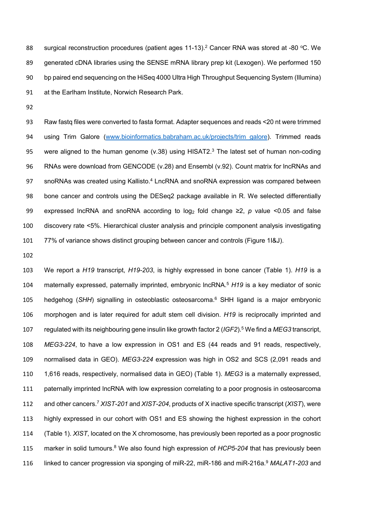88 surgical reconstruction procedures (patient ages 11-13).<sup>2</sup> Cancer RNA was stored at -80 °C. We generated cDNA libraries using the SENSE mRNA library prep kit (Lexogen). We performed 150 bp paired end sequencing on the HiSeq 4000 Ultra High Throughput Sequencing System (Illumina) at the Earlham Institute, Norwich Research Park.

 Raw fastq files were converted to fasta format. Adapter sequences and reads <20 nt were trimmed using Trim Galore [\(www.bioinformatics.babraham.ac.uk/projects/trim\\_galore\)](http://www.bioinformatics.babraham.ac.uk/projects/trim_galore). Trimmed reads 95 were aligned to the human genome (v.38) using HISAT2. The latest set of human non-coding RNAs were download from GENCODE (v.28) and Ensembl (v.92). Count matrix for lncRNAs and 97 snoRNAs was created using Kallisto.<sup>4</sup> LncRNA and snoRNA expression was compared between bone cancer and controls using the DESeq2 package available in R. We selected differentially expressed lncRNA and snoRNA according to log<sup>2</sup> fold change ≥2, *p* value <0.05 and false discovery rate <5%. Hierarchical cluster analysis and principle component analysis investigating 77% of variance shows distinct grouping between cancer and controls (Figure 1I&J).

 We report a *H19* transcript, *H19-203*, is highly expressed in bone cancer (Table 1). *H19* is a 104 maternally expressed, paternally imprinted, embryonic lncRNA.<sup>5</sup> H19 is a key mediator of sonic 105 hedgehog (*SHH*) signalling in osteoblastic osteosarcoma.<sup>6</sup> SHH ligand is a major embryonic morphogen and is later required for adult stem cell division. *H19* is reciprocally imprinted and regulated with its neighbouring gene insulin like growth factor 2 (*IGF2*). <sup>5</sup> We find a *MEG3* transcript, *MEG3-224*, to have a low expression in OS1 and ES (44 reads and 91 reads, respectively, normalised data in GEO). *MEG3-224* expression was high in OS2 and SCS (2,091 reads and 1,616 reads, respectively, normalised data in GEO) (Table 1). *MEG3* is a maternally expressed, paternally imprinted lncRNA with low expression correlating to a poor prognosis in osteosarcoma 112 and other cancers.<sup>7</sup> *XIST-201* and *XIST-204*, products of X inactive specific transcript (*XIST*), were highly expressed in our cohort with OS1 and ES showing the highest expression in the cohort (Table 1). *XIST*, located on the X chromosome, has previously been reported as a poor prognostic 115 marker in solid tumours.<sup>8</sup> We also found high expression of *HCP5-204* that has previously been 116 linked to cancer progression via sponging of miR-22, miR-186 and miR-216a.<sup>9</sup> MALAT1-203 and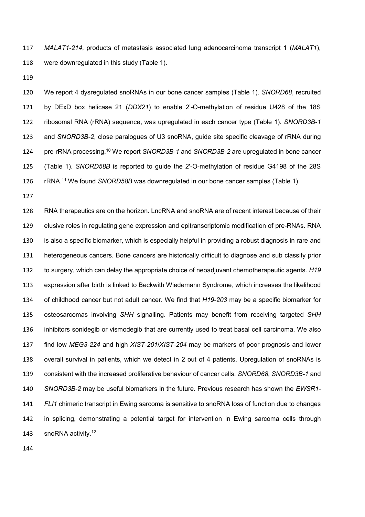*MALAT1-214*, products of metastasis associated lung adenocarcinoma transcript 1 (*MALAT1*), were downregulated in this study (Table 1).

 We report 4 dysregulated snoRNAs in our bone cancer samples (Table 1). *SNORD68*, recruited by DExD box helicase 21 (*DDX21*) to enable 2'-O-methylation of residue U428 of the 18S ribosomal RNA (rRNA) sequence, was upregulated in each cancer type (Table 1). *SNORD3B-1* and *SNORD3B-2*, close paralogues of U3 snoRNA, guide site specific cleavage of rRNA during pre-rRNA processing. <sup>10</sup> We report *SNORD3B-1* and *SNORD3B-2* are upregulated in bone cancer (Table 1). *SNORD58B* is reported to guide the 2'-O-methylation of residue G4198 of the 28S 126 rRNA.<sup>11</sup> We found *SNORD58B* was downregulated in our bone cancer samples (Table 1).

 RNA therapeutics are on the horizon. LncRNA and snoRNA are of recent interest because of their elusive roles in regulating gene expression and epitranscriptomic modification of pre-RNAs. RNA is also a specific biomarker, which is especially helpful in providing a robust diagnosis in rare and heterogeneous cancers. Bone cancers are historically difficult to diagnose and sub classify prior to surgery, which can delay the appropriate choice of neoadjuvant chemotherapeutic agents. *H19*  expression after birth is linked to Beckwith Wiedemann Syndrome, which increases the likelihood of childhood cancer but not adult cancer. We find that *H19-203* may be a specific biomarker for osteosarcomas involving *SHH* signalling. Patients may benefit from receiving targeted *SHH*  inhibitors sonidegib or vismodegib that are currently used to treat basal cell carcinoma. We also find low *MEG3-224* and high *XIST-201*/*XIST-204* may be markers of poor prognosis and lower overall survival in patients, which we detect in 2 out of 4 patients. Upregulation of snoRNAs is consistent with the increased proliferative behaviour of cancer cells. *SNORD68*, *SNORD3B-1* and *SNORD3B-2* may be useful biomarkers in the future. Previous research has shown the *EWSR1- FLI1* chimeric transcript in Ewing sarcoma is sensitive to snoRNA loss of function due to changes in splicing, demonstrating a potential target for intervention in Ewing sarcoma cells through 143 snoRNA activity.<sup>12</sup>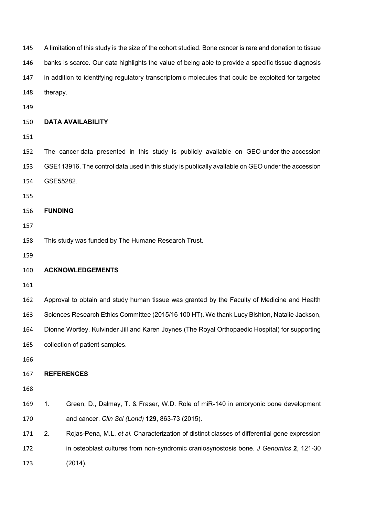| 145 | A limitation of this study is the size of the cohort studied. Bone cancer is rare and donation to tissue |                                                                                                     |  |  |  |
|-----|----------------------------------------------------------------------------------------------------------|-----------------------------------------------------------------------------------------------------|--|--|--|
| 146 | banks is scarce. Our data highlights the value of being able to provide a specific tissue diagnosis      |                                                                                                     |  |  |  |
| 147 |                                                                                                          | in addition to identifying regulatory transcriptomic molecules that could be exploited for targeted |  |  |  |
| 148 | therapy.                                                                                                 |                                                                                                     |  |  |  |
| 149 |                                                                                                          |                                                                                                     |  |  |  |
| 150 |                                                                                                          | <b>DATA AVAILABILITY</b>                                                                            |  |  |  |
| 151 |                                                                                                          |                                                                                                     |  |  |  |
| 152 |                                                                                                          | The cancer data presented in this study is publicly available on GEO under the accession            |  |  |  |
| 153 |                                                                                                          | GSE113916. The control data used in this study is publically available on GEO under the accession   |  |  |  |
| 154 | GSE55282.                                                                                                |                                                                                                     |  |  |  |
| 155 |                                                                                                          |                                                                                                     |  |  |  |
| 156 | <b>FUNDING</b>                                                                                           |                                                                                                     |  |  |  |
| 157 |                                                                                                          |                                                                                                     |  |  |  |
| 158 | This study was funded by The Humane Research Trust.                                                      |                                                                                                     |  |  |  |
| 159 |                                                                                                          |                                                                                                     |  |  |  |
| 160 |                                                                                                          | <b>ACKNOWLEDGEMENTS</b>                                                                             |  |  |  |
| 161 |                                                                                                          |                                                                                                     |  |  |  |
| 162 |                                                                                                          | Approval to obtain and study human tissue was granted by the Faculty of Medicine and Health         |  |  |  |
| 163 |                                                                                                          | Sciences Research Ethics Committee (2015/16 100 HT). We thank Lucy Bishton, Natalie Jackson,        |  |  |  |
| 164 |                                                                                                          | Dionne Wortley, Kulvinder Jill and Karen Joynes (The Royal Orthopaedic Hospital) for supporting     |  |  |  |
| 165 |                                                                                                          | collection of patient samples.                                                                      |  |  |  |
| 166 |                                                                                                          |                                                                                                     |  |  |  |
| 167 |                                                                                                          | <b>REFERENCES</b>                                                                                   |  |  |  |
| 168 |                                                                                                          |                                                                                                     |  |  |  |
| 169 | 1.                                                                                                       | Green, D., Dalmay, T. & Fraser, W.D. Role of miR-140 in embryonic bone development                  |  |  |  |
| 170 |                                                                                                          | and cancer. Clin Sci (Lond) 129, 863-73 (2015).                                                     |  |  |  |
| 171 | 2.                                                                                                       | Rojas-Pena, M.L. et al. Characterization of distinct classes of differential gene expression        |  |  |  |
| 172 |                                                                                                          | in osteoblast cultures from non-syndromic craniosynostosis bone. J Genomics 2, 121-30               |  |  |  |
| 173 |                                                                                                          | (2014).                                                                                             |  |  |  |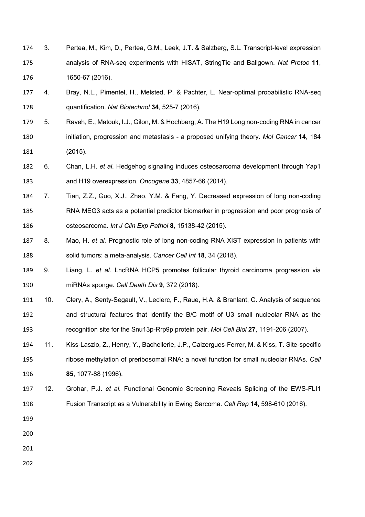- 3. Pertea, M., Kim, D., Pertea, G.M., Leek, J.T. & Salzberg, S.L. Transcript-level expression analysis of RNA-seq experiments with HISAT, StringTie and Ballgown. *Nat Protoc* **11**, 1650-67 (2016).
- 4. Bray, N.L., Pimentel, H., Melsted, P. & Pachter, L. Near-optimal probabilistic RNA-seq quantification. *Nat Biotechnol* **34**, 525-7 (2016).
- 5. Raveh, E., Matouk, I.J., Gilon, M. & Hochberg, A. The H19 Long non-coding RNA in cancer initiation, progression and metastasis - a proposed unifying theory. *Mol Cancer* **14**, 184 (2015).
- 6. Chan, L.H. *et al.* Hedgehog signaling induces osteosarcoma development through Yap1 and H19 overexpression. *Oncogene* **33**, 4857-66 (2014).
- 7. Tian, Z.Z., Guo, X.J., Zhao, Y.M. & Fang, Y. Decreased expression of long non-coding RNA MEG3 acts as a potential predictor biomarker in progression and poor prognosis of osteosarcoma. *Int J Clin Exp Pathol* **8**, 15138-42 (2015).
- 8. Mao, H. *et al.* Prognostic role of long non-coding RNA XIST expression in patients with solid tumors: a meta-analysis. *Cancer Cell Int* **18**, 34 (2018).
- 9. Liang, L. *et al.* LncRNA HCP5 promotes follicular thyroid carcinoma progression via miRNAs sponge. *Cell Death Dis* **9**, 372 (2018).
- 10. Clery, A., Senty-Segault, V., Leclerc, F., Raue, H.A. & Branlant, C. Analysis of sequence and structural features that identify the B/C motif of U3 small nucleolar RNA as the recognition site for the Snu13p-Rrp9p protein pair. *Mol Cell Biol* **27**, 1191-206 (2007).
- 11. Kiss-Laszlo, Z., Henry, Y., Bachellerie, J.P., Caizergues-Ferrer, M. & Kiss, T. Site-specific ribose methylation of preribosomal RNA: a novel function for small nucleolar RNAs. *Cell* **85**, 1077-88 (1996).
- 12. Grohar, P.J. *et al.* Functional Genomic Screening Reveals Splicing of the EWS-FLI1 Fusion Transcript as a Vulnerability in Ewing Sarcoma. *Cell Rep* **14**, 598-610 (2016).
- 
- 
- 
-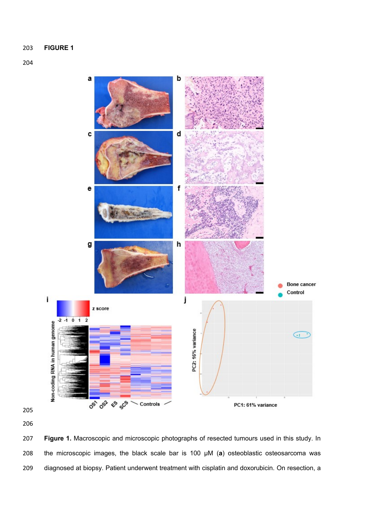## 



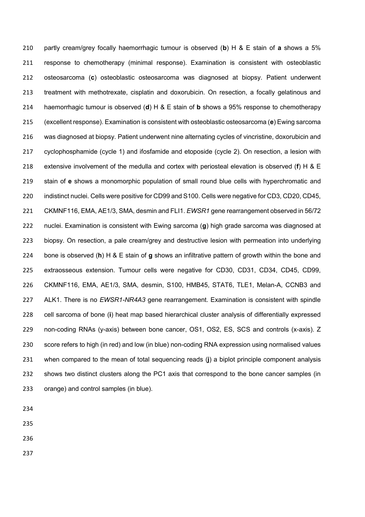partly cream/grey focally haemorrhagic tumour is observed (**b**) H & E stain of **a** shows a 5% response to chemotherapy (minimal response). Examination is consistent with osteoblastic osteosarcoma (**c**) osteoblastic osteosarcoma was diagnosed at biopsy. Patient underwent treatment with methotrexate, cisplatin and doxorubicin. On resection, a focally gelatinous and haemorrhagic tumour is observed (**d**) H & E stain of **b** shows a 95% response to chemotherapy (excellent response). Examination is consistent with osteoblastic osteosarcoma (**e**) Ewing sarcoma was diagnosed at biopsy. Patient underwent nine alternating cycles of vincristine, doxorubicin and cyclophosphamide (cycle 1) and ifosfamide and etoposide (cycle 2). On resection, a lesion with extensive involvement of the medulla and cortex with periosteal elevation is observed (**f**) H & E stain of **e** shows a monomorphic population of small round blue cells with hyperchromatic and indistinct nuclei. Cells were positive for CD99 and S100. Cells were negative for CD3, CD20, CD45, CKMNF116, EMA, AE1/3, SMA, desmin and FLI1. *EWSR1* gene rearrangement observed in 56/72 nuclei. Examination is consistent with Ewing sarcoma (**g**) high grade sarcoma was diagnosed at biopsy. On resection, a pale cream/grey and destructive lesion with permeation into underlying bone is observed (**h**) H & E stain of **g** shows an infiltrative pattern of growth within the bone and extraosseous extension. Tumour cells were negative for CD30, CD31, CD34, CD45, CD99, CKMNF116, EMA, AE1/3, SMA, desmin, S100, HMB45, STAT6, TLE1, Melan-A, CCNB3 and ALK1. There is no *EWSR1-NR4A3* gene rearrangement. Examination is consistent with spindle cell sarcoma of bone (**i**) heat map based hierarchical cluster analysis of differentially expressed non-coding RNAs (y-axis) between bone cancer, OS1, OS2, ES, SCS and controls (x-axis). Z score refers to high (in red) and low (in blue) non-coding RNA expression using normalised values when compared to the mean of total sequencing reads (**j**) a biplot principle component analysis shows two distinct clusters along the PC1 axis that correspond to the bone cancer samples (in orange) and control samples (in blue).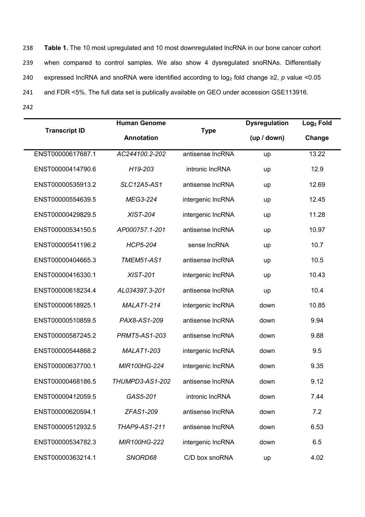**Table 1.** The 10 most upregulated and 10 most downregulated lncRNA in our bone cancer cohort when compared to control samples. We also show 4 dysregulated snoRNAs. Differentially expressed lncRNA and snoRNA were identified according to log<sup>2</sup> fold change ≥2, *p* value <0.05 and FDR <5%. The full data set is publically available on GEO under accession GSE113916. 242

|                      | <b>Human Genome</b>    |                   | <b>Dysregulation</b> | Log <sub>2</sub> Fold |
|----------------------|------------------------|-------------------|----------------------|-----------------------|
| <b>Transcript ID</b> | <b>Annotation</b>      | <b>Type</b>       | (up / down)          | Change                |
| ENST00000617687.1    | AC244100.2-202         | antisense IncRNA  | up                   | 13.22                 |
| ENST00000414790.6    | H19-203                | intronic IncRNA   | up                   | 12.9                  |
| ENST00000535913.2    | <b>SLC12A5-AS1</b>     | antisense IncRNA  | up                   | 12.69                 |
| ENST00000554639.5    | MEG3-224               | intergenic IncRNA | up                   | 12.45                 |
| ENST00000429829.5    | <b>XIST-204</b>        | intergenic IncRNA | up                   | 11.28                 |
| ENST00000534150.5    | AP000757.1-201         | antisense IncRNA  | up                   | 10.97                 |
| ENST00000541196.2    | <b>HCP5-204</b>        | sense IncRNA      | up                   | 10.7                  |
| ENST00000404665.3    | <b>TMEM51-AS1</b>      | antisense IncRNA  | up                   | 10.5                  |
| ENST00000416330.1    | <b>XIST-201</b>        | intergenic IncRNA | up                   | 10.43                 |
| ENST00000618234.4    | AL034397.3-201         | antisense IncRNA  | up                   | 10.4                  |
| ENST00000618925.1    | <b>MALAT1-214</b>      | intergenic IncRNA | down                 | 10.85                 |
| ENST00000510859.5    | PAX8-AS1-209           | antisense IncRNA  | down                 | 9.94                  |
| ENST00000587245.2    | <b>PRMT5-AS1-203</b>   | antisense IncRNA  | down                 | 9.88                  |
| ENST00000544868.2    | <b>MALAT1-203</b>      | intergenic IncRNA | down                 | 9.5                   |
| ENST00000637700.1    | MIR100HG-224           | intergenic IncRNA | down                 | 9.35                  |
| ENST00000468186.5    | <b>THUMPD3-AS1-202</b> | antisense IncRNA  | down                 | 9.12                  |
| ENST00000412059.5    | GAS5-201               | intronic IncRNA   | down                 | 7.44                  |
| ENST00000620594.1    | ZFAS1-209              | antisense IncRNA  | down                 | 7.2                   |
| ENST00000512932.5    | THAP9-AS1-211          | antisense IncRNA  | down                 | 6.53                  |
| ENST00000534782.3    | MIR100HG-222           | intergenic IncRNA | down                 | 6.5                   |
| ENST00000363214.1    | SNORD68                | C/D box snoRNA    | up                   | 4.02                  |